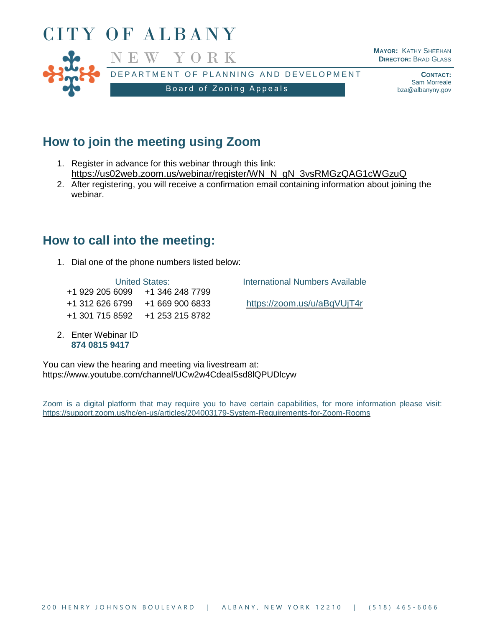

# **How to join the meeting using Zoom**

- 1. Register in advance for this webinar through this link: [https://us02web.zoom.us/webinar/register/WN\\_N\\_gN\\_3vsRMGzQAG1cWGzuQ](https://us02web.zoom.us/webinar/register/WN_N_gN_3vsRMGzQAG1cWGzuQ)
- 2. After registering, you will receive a confirmation email containing information about joining the webinar.

## **How to call into the meeting:**

1. Dial one of the phone numbers listed below:

+1 929 205 6099 +1 346 248 7799 +1 312 626 6799 +1 669 900 6833 <https://zoom.us/u/aBqVUjT4r> +1 301 715 8592 +1 253 215 8782

2. Enter Webinar ID **874 0815 9417**

United States: **International Numbers Available** 

You can view the hearing and meeting via livestream at: <https://www.youtube.com/channel/UCw2w4CdeaI5sd8lQPUDlcyw>

Zoom is a digital platform that may require you to have certain capabilities, for more information please visit: <https://support.zoom.us/hc/en-us/articles/204003179-System-Requirements-for-Zoom-Rooms>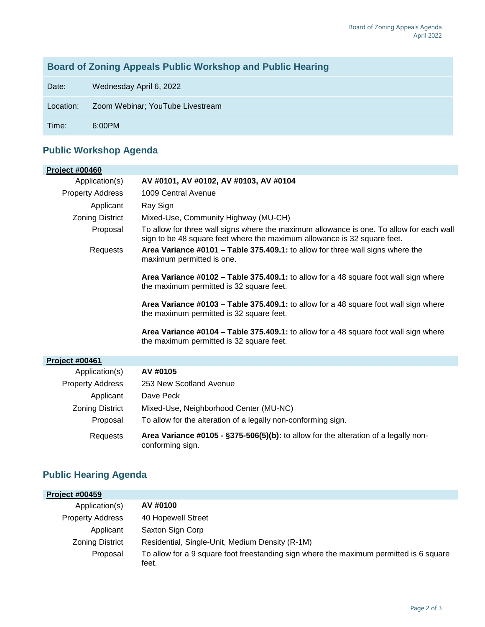### **Board of Zoning Appeals Public Workshop and Public Hearing**

Date: Wednesday April 6, 2022

Location: Zoom Webinar; YouTube Livestream

Time: 6:00PM

### **Public Workshop Agenda**

| <b>Project #00460</b>   |                                                                                                                                                                      |
|-------------------------|----------------------------------------------------------------------------------------------------------------------------------------------------------------------|
| Application(s)          | AV #0101, AV #0102, AV #0103, AV #0104                                                                                                                               |
| <b>Property Address</b> | 1009 Central Avenue                                                                                                                                                  |
| Applicant               | Ray Sign                                                                                                                                                             |
| <b>Zoning District</b>  | Mixed-Use, Community Highway (MU-CH)                                                                                                                                 |
| Proposal                | To allow for three wall signs where the maximum allowance is one. To allow for each wall<br>sign to be 48 square feet where the maximum allowance is 32 square feet. |
| Requests                | Area Variance #0101 - Table 375.409.1: to allow for three wall signs where the<br>maximum permitted is one.                                                          |
|                         | Area Variance #0102 - Table 375.409.1: to allow for a 48 square foot wall sign where<br>the maximum permitted is 32 square feet.                                     |
|                         | Area Variance #0103 - Table 375.409.1: to allow for a 48 square foot wall sign where<br>the maximum permitted is 32 square feet.                                     |
|                         | Area Variance #0104 - Table 375.409.1: to allow for a 48 square foot wall sign where<br>the maximum permitted is 32 square feet.                                     |
| Project #00461          |                                                                                                                                                                      |
| Application(s)          | AV #0105                                                                                                                                                             |
| <b>Property Address</b> | 253 New Scotland Avenue                                                                                                                                              |
| Applicant               | Dave Peck                                                                                                                                                            |
| <b>Zoning District</b>  | Mixed-Use, Neighborhood Center (MU-NC)                                                                                                                               |
| Proposal                | To allow for the alteration of a legally non-conforming sign.                                                                                                        |
| Requests                | Area Variance #0105 - §375-506(5)(b): to allow for the alteration of a legally non-<br>conforming sign.                                                              |

### **Public Hearing Agenda**

| <b>Project #00459</b>   |                                                                                                 |
|-------------------------|-------------------------------------------------------------------------------------------------|
| Application(s)          | AV #0100                                                                                        |
| <b>Property Address</b> | 40 Hopewell Street                                                                              |
| Applicant               | Saxton Sign Corp                                                                                |
| <b>Zoning District</b>  | Residential, Single-Unit, Medium Density (R-1M)                                                 |
| Proposal                | To allow for a 9 square foot freestanding sign where the maximum permitted is 6 square<br>feet. |